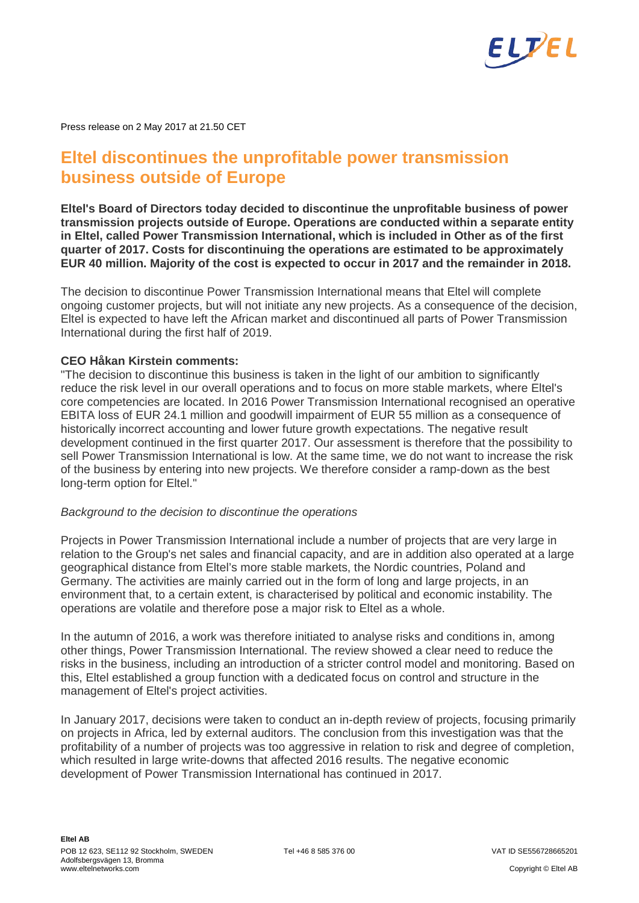

Press release on 2 May 2017 at 21.50 CET

# **Eltel discontinues the unprofitable power transmission business outside of Europe**

**Eltel's Board of Directors today decided to discontinue the unprofitable business of power transmission projects outside of Europe. Operations are conducted within a separate entity in Eltel, called Power Transmission International, which is included in Other as of the first quarter of 2017. Costs for discontinuing the operations are estimated to be approximately EUR 40 million. Majority of the cost is expected to occur in 2017 and the remainder in 2018.**

The decision to discontinue Power Transmission International means that Eltel will complete ongoing customer projects, but will not initiate any new projects. As a consequence of the decision, Eltel is expected to have left the African market and discontinued all parts of Power Transmission International during the first half of 2019.

## **CEO Håkan Kirstein comments:**

"The decision to discontinue this business is taken in the light of our ambition to significantly reduce the risk level in our overall operations and to focus on more stable markets, where Eltel's core competencies are located. In 2016 Power Transmission International recognised an operative EBITA loss of EUR 24.1 million and goodwill impairment of EUR 55 million as a consequence of historically incorrect accounting and lower future growth expectations. The negative result development continued in the first quarter 2017. Our assessment is therefore that the possibility to sell Power Transmission International is low. At the same time, we do not want to increase the risk of the business by entering into new projects. We therefore consider a ramp-down as the best long-term option for Eltel."

#### *Background to the decision to discontinue the operations*

Projects in Power Transmission International include a number of projects that are very large in relation to the Group's net sales and financial capacity, and are in addition also operated at a large geographical distance from Eltel's more stable markets, the Nordic countries, Poland and Germany. The activities are mainly carried out in the form of long and large projects, in an environment that, to a certain extent, is characterised by political and economic instability. The operations are volatile and therefore pose a major risk to Eltel as a whole.

In the autumn of 2016, a work was therefore initiated to analyse risks and conditions in, among other things, Power Transmission International. The review showed a clear need to reduce the risks in the business, including an introduction of a stricter control model and monitoring. Based on this, Eltel established a group function with a dedicated focus on control and structure in the management of Eltel's project activities.

In January 2017, decisions were taken to conduct an in-depth review of projects, focusing primarily on projects in Africa, led by external auditors. The conclusion from this investigation was that the profitability of a number of projects was too aggressive in relation to risk and degree of completion, which resulted in large write-downs that affected 2016 results. The negative economic development of Power Transmission International has continued in 2017.